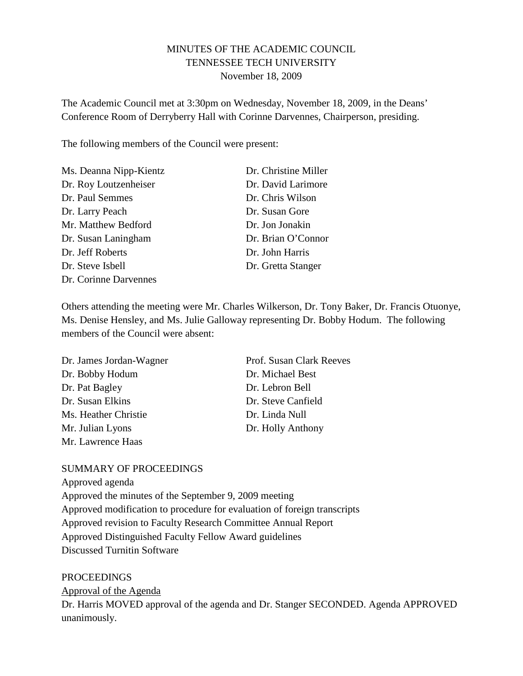# MINUTES OF THE ACADEMIC COUNCIL TENNESSEE TECH UNIVERSITY November 18, 2009

The Academic Council met at 3:30pm on Wednesday, November 18, 2009, in the Deans' Conference Room of Derryberry Hall with Corinne Darvennes, Chairperson, presiding.

The following members of the Council were present:

| Ms. Deanna Nipp-Kientz | Dr. Christine Miller |
|------------------------|----------------------|
| Dr. Roy Loutzenheiser  | Dr. David Larimore   |
| Dr. Paul Semmes        | Dr. Chris Wilson     |
| Dr. Larry Peach        | Dr. Susan Gore       |
| Mr. Matthew Bedford    | Dr. Jon Jonakin      |
| Dr. Susan Laningham    | Dr. Brian O'Connor   |
| Dr. Jeff Roberts       | Dr. John Harris      |
| Dr. Steve Isbell       | Dr. Gretta Stanger   |
| Dr. Corinne Darvennes  |                      |

Others attending the meeting were Mr. Charles Wilkerson, Dr. Tony Baker, Dr. Francis Otuonye, Ms. Denise Hensley, and Ms. Julie Galloway representing Dr. Bobby Hodum. The following members of the Council were absent:

| Dr. James Jordan-Wagner | Prof. Susan Clark Reeves |
|-------------------------|--------------------------|
| Dr. Bobby Hodum         | Dr. Michael Best         |
| Dr. Pat Bagley          | Dr. Lebron Bell          |
| Dr. Susan Elkins        | Dr. Steve Canfield       |
| Ms. Heather Christie    | Dr. Linda Null           |
| Mr. Julian Lyons        | Dr. Holly Anthony        |
| Mr. Lawrence Haas       |                          |

## SUMMARY OF PROCEEDINGS

Approved agenda Approved the minutes of the September 9, 2009 meeting Approved modification to procedure for evaluation of foreign transcripts Approved revision to Faculty Research Committee Annual Report Approved Distinguished Faculty Fellow Award guidelines Discussed Turnitin Software

PROCEEDINGS Dr. Harris MOVED approval of the agenda and Dr. Stanger SECONDED. Agenda APPROVED unanimously. Approval of the Agenda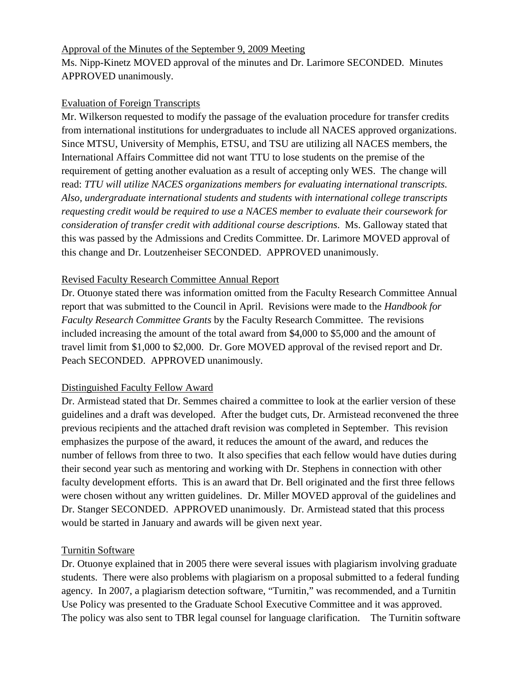#### Approval of the Minutes of the September 9, 2009 Meeting

Ms. Nipp-Kinetz MOVED approval of the minutes and Dr. Larimore SECONDED. Minutes APPROVED unanimously.

## Evaluation of Foreign Transcripts

Mr. Wilkerson requested to modify the passage of the evaluation procedure for transfer credits from international institutions for undergraduates to include all NACES approved organizations. Since MTSU, University of Memphis, ETSU, and TSU are utilizing all NACES members, the International Affairs Committee did not want TTU to lose students on the premise of the requirement of getting another evaluation as a result of accepting only WES. The change will read: *TTU will utilize NACES organizations members for evaluating international transcripts. Also, undergraduate international students and students with international college transcripts requesting credit would be required to use a NACES member to evaluate their coursework for consideration of transfer credit with additional course descriptions*. Ms. Galloway stated that this was passed by the Admissions and Credits Committee. Dr. Larimore MOVED approval of this change and Dr. Loutzenheiser SECONDED. APPROVED unanimously.

# Revised Faculty Research Committee Annual Report

Dr. Otuonye stated there was information omitted from the Faculty Research Committee Annual report that was submitted to the Council in April. Revisions were made to the *Handbook for Faculty Research Committee Grants* by the Faculty Research Committee. The revisions included increasing the amount of the total award from \$4,000 to \$5,000 and the amount of travel limit from \$1,000 to \$2,000. Dr. Gore MOVED approval of the revised report and Dr. Peach SECONDED. APPROVED unanimously.

## Distinguished Faculty Fellow Award

Dr. Armistead stated that Dr. Semmes chaired a committee to look at the earlier version of these guidelines and a draft was developed. After the budget cuts, Dr. Armistead reconvened the three previous recipients and the attached draft revision was completed in September. This revision emphasizes the purpose of the award, it reduces the amount of the award, and reduces the number of fellows from three to two. It also specifies that each fellow would have duties during their second year such as mentoring and working with Dr. Stephens in connection with other faculty development efforts. This is an award that Dr. Bell originated and the first three fellows were chosen without any written guidelines. Dr. Miller MOVED approval of the guidelines and Dr. Stanger SECONDED. APPROVED unanimously. Dr. Armistead stated that this process would be started in January and awards will be given next year.

## Turnitin Software

Dr. Otuonye explained that in 2005 there were several issues with plagiarism involving graduate students. There were also problems with plagiarism on a proposal submitted to a federal funding agency. In 2007, a plagiarism detection software, "Turnitin," was recommended, and a Turnitin Use Policy was presented to the Graduate School Executive Committee and it was approved. The policy was also sent to TBR legal counsel for language clarification. The Turnitin software